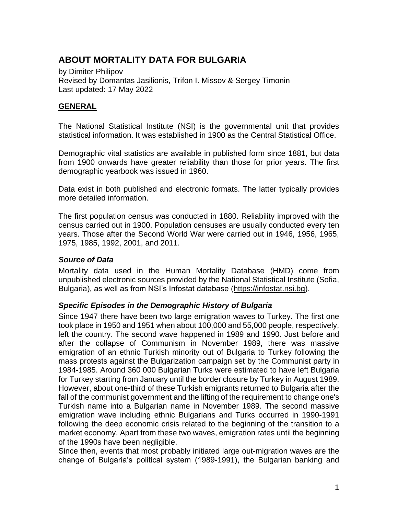# **ABOUT MORTALITY DATA FOR BULGARIA**

by Dimiter Philipov Revised by Domantas Jasilionis, Trifon I. Missov & Sergey Timonin Last updated: 17 May 2022

## **GENERAL**

The National Statistical Institute (NSI) is the governmental unit that provides statistical information. It was established in 1900 as the Central Statistical Office.

Demographic vital statistics are available in published form since 1881, but data from 1900 onwards have greater reliability than those for prior years. The first demographic yearbook was issued in 1960.

Data exist in both published and electronic formats. The latter typically provides more detailed information.

The first population census was conducted in 1880. Reliability improved with the census carried out in 1900. Population censuses are usually conducted every ten years. Those after the Second World War were carried out in 1946, 1956, 1965, 1975, 1985, 1992, 2001, and 2011.

#### *Source of Data*

Mortality data used in the Human Mortality Database (HMD) come from unpublished electronic sources provided by the National Statistical Institute (Sofia, Bulgaria), as well as from NSI's Infostat database [\(https://infostat.nsi.bg\)](https://infostat.nsi.bg/).

## *Specific Episodes in the Demographic History of Bulgaria*

Since 1947 there have been two large emigration waves to Turkey. The first one took place in 1950 and 1951 when about 100,000 and 55,000 people, respectively, left the country. The second wave happened in 1989 and 1990. Just before and after the collapse of Communism in November 1989, there was massive emigration of an ethnic Turkish minority out of Bulgaria to Turkey following the mass protests against the Bulgarization campaign set by the Communist party in 1984-1985. Around 360 000 Bulgarian Turks were estimated to have left Bulgaria for Turkey starting from January until the border closure by Turkey in August 1989. However, about one-third of these Turkish emigrants returned to Bulgaria after the fall of the communist government and the lifting of the requirement to change one's Turkish name into a Bulgarian name in November 1989. The second massive emigration wave including ethnic Bulgarians and Turks occurred in 1990-1991 following the deep economic crisis related to the beginning of the transition to a market economy. Apart from these two waves, emigration rates until the beginning of the 1990s have been negligible.

Since then, events that most probably initiated large out-migration waves are the change of Bulgaria's political system (1989-1991), the Bulgarian banking and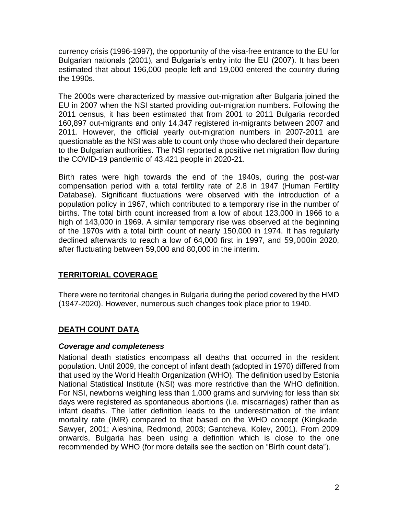currency crisis (1996-1997), the opportunity of the visa-free entrance to the EU for Bulgarian nationals (2001), and Bulgaria's entry into the EU (2007). It has been estimated that about 196,000 people left and 19,000 entered the country during the 1990s.

The 2000s were characterized by massive out-migration after Bulgaria joined the EU in 2007 when the NSI started providing out-migration numbers. Following the 2011 census, it has been estimated that from 2001 to 2011 Bulgaria recorded 160,897 out-migrants and only 14,347 registered in-migrants between 2007 and 2011. However, the official yearly out-migration numbers in 2007-2011 are questionable as the NSI was able to count only those who declared their departure to the Bulgarian authorities. The NSI reported a positive net migration flow during the COVID-19 pandemic of 43,421 people in 2020-21.

Birth rates were high towards the end of the 1940s, during the post-war compensation period with a total fertility rate of 2.8 in 1947 (Human Fertility Database). Significant fluctuations were observed with the introduction of a population policy in 1967, which contributed to a temporary rise in the number of births. The total birth count increased from a low of about 123,000 in 1966 to a high of 143,000 in 1969. A similar temporary rise was observed at the beginning of the 1970s with a total birth count of nearly 150,000 in 1974. It has regularly declined afterwards to reach a low of 64,000 first in 1997, and 59,000in 2020, after fluctuating between 59,000 and 80,000 in the interim.

## **TERRITORIAL COVERAGE**

There were no territorial changes in Bulgaria during the period covered by the HMD (1947-2020). However, numerous such changes took place prior to 1940.

## **DEATH COUNT DATA**

#### *Coverage and completeness*

National death statistics encompass all deaths that occurred in the resident population. Until 2009, the concept of infant death (adopted in 1970) differed from that used by the World Health Organization (WHO). The definition used by Estonia National Statistical Institute (NSI) was more restrictive than the WHO definition. For NSI, newborns weighing less than 1,000 grams and surviving for less than six days were registered as spontaneous abortions (i.e. miscarriages) rather than as infant deaths. The latter definition leads to the underestimation of the infant mortality rate (IMR) compared to that based on the WHO concept (Kingkade, Sawyer, 2001; Aleshina, Redmond, 2003; Gantcheva, Kolev, 2001). From 2009 onwards, Bulgaria has been using a definition which is close to the one recommended by WHO (for more details see the section on "Birth count data").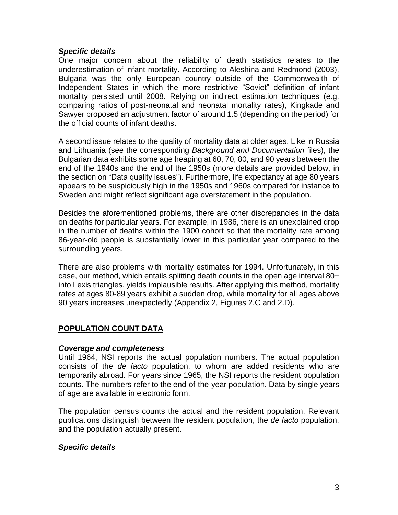#### *Specific details*

One major concern about the reliability of death statistics relates to the underestimation of infant mortality. According to Aleshina and Redmond (2003), Bulgaria was the only European country outside of the Commonwealth of Independent States in which the more restrictive "Soviet" definition of infant mortality persisted until 2008. Relying on indirect estimation techniques (e.g. comparing ratios of post-neonatal and neonatal mortality rates), Kingkade and Sawyer proposed an adjustment factor of around 1.5 (depending on the period) for the official counts of infant deaths.

A second issue relates to the quality of mortality data at older ages. Like in Russia and Lithuania (see the corresponding *Background and Documentation* files), the Bulgarian data exhibits some age heaping at 60, 70, 80, and 90 years between the end of the 1940s and the end of the 1950s (more details are provided below, in the section on "Data quality issues"). Furthermore, life expectancy at age 80 years appears to be suspiciously high in the 1950s and 1960s compared for instance to Sweden and might reflect significant age overstatement in the population.

Besides the aforementioned problems, there are other discrepancies in the data on deaths for particular years. For example, in 1986, there is an unexplained drop in the number of deaths within the 1900 cohort so that the mortality rate among 86-year-old people is substantially lower in this particular year compared to the surrounding years.

There are also problems with mortality estimates for 1994. Unfortunately, in this case, our method, which entails splitting death counts in the open age interval 80+ into Lexis triangles, yields implausible results. After applying this method, mortality rates at ages 80-89 years exhibit a sudden drop, while mortality for all ages above 90 years increases unexpectedly (Appendix 2, Figures 2.C and 2.D).

## **POPULATION COUNT DATA**

#### *Coverage and completeness*

Until 1964, NSI reports the actual population numbers. The actual population consists of the *de facto* population, to whom are added residents who are temporarily abroad. For years since 1965, the NSI reports the resident population counts. The numbers refer to the end-of-the-year population. Data by single years of age are available in electronic form.

The population census counts the actual and the resident population. Relevant publications distinguish between the resident population, the *de facto* population, and the population actually present.

#### *Specific details*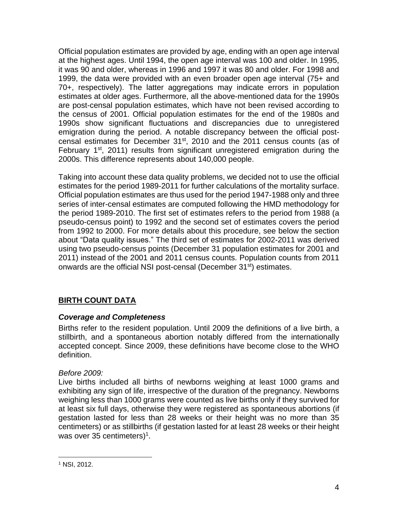Official population estimates are provided by age, ending with an open age interval at the highest ages. Until 1994, the open age interval was 100 and older. In 1995, it was 90 and older, whereas in 1996 and 1997 it was 80 and older. For 1998 and 1999, the data were provided with an even broader open age interval (75+ and 70+, respectively). The latter aggregations may indicate errors in population estimates at older ages. Furthermore, all the above-mentioned data for the 1990s are post-censal population estimates, which have not been revised according to the census of 2001. Official population estimates for the end of the 1980s and 1990s show significant fluctuations and discrepancies due to unregistered emigration during the period. A notable discrepancy between the official postcensal estimates for December  $31<sup>st</sup>$ , 2010 and the 2011 census counts (as of February  $1<sup>st</sup>$ , 2011) results from significant unregistered emigration during the 2000s. This difference represents about 140,000 people.

Taking into account these data quality problems, we decided not to use the official estimates for the period 1989-2011 for further calculations of the mortality surface. Official population estimates are thus used for the period 1947-1988 only and three series of inter-censal estimates are computed following the HMD methodology for the period 1989-2010. The first set of estimates refers to the period from 1988 (a pseudo-census point) to 1992 and the second set of estimates covers the period from 1992 to 2000. For more details about this procedure, see below the section about "Data quality issues." The third set of estimates for 2002-2011 was derived using two pseudo-census points (December 31 population estimates for 2001 and 2011) instead of the 2001 and 2011 census counts. Population counts from 2011 onwards are the official NSI post-censal (December 31<sup>st</sup>) estimates.

## **BIRTH COUNT DATA**

## *Coverage and Completeness*

Births refer to the resident population. Until 2009 the definitions of a live birth, a stillbirth, and a spontaneous abortion notably differed from the internationally accepted concept. Since 2009, these definitions have become close to the WHO definition.

## *Before 2009:*

Live births included all births of newborns weighing at least 1000 grams and exhibiting any sign of life, irrespective of the duration of the pregnancy. Newborns weighing less than 1000 grams were counted as live births only if they survived for at least six full days, otherwise they were registered as spontaneous abortions (if gestation lasted for less than 28 weeks or their height was no more than 35 centimeters) or as stillbirths (if gestation lasted for at least 28 weeks or their height was over 35 centimeters)<sup>1</sup>.

<sup>1</sup> NSI, 2012.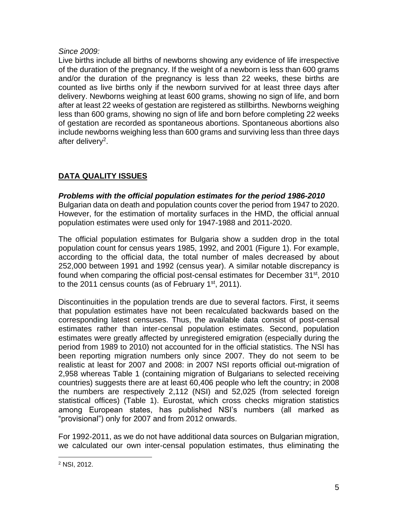#### *Since 2009:*

Live births include all births of newborns showing any evidence of life irrespective of the duration of the pregnancy. If the weight of a newborn is less than 600 grams and/or the duration of the pregnancy is less than 22 weeks, these births are counted as live births only if the newborn survived for at least three days after delivery. Newborns weighing at least 600 grams, showing no sign of life, and born after at least 22 weeks of gestation are registered as stillbirths. Newborns weighing less than 600 grams, showing no sign of life and born before completing 22 weeks of gestation are recorded as spontaneous abortions. Spontaneous abortions also include newborns weighing less than 600 grams and surviving less than three days after delivery<sup>2</sup>.

# **DATA QUALITY ISSUES**

*Problems with the official population estimates for the period 1986-2010* Bulgarian data on death and population counts cover the period from 1947 to 2020. However, for the estimation of mortality surfaces in the HMD, the official annual population estimates were used only for 1947-1988 and 2011-2020.

The official population estimates for Bulgaria show a sudden drop in the total population count for census years 1985, 1992, and 2001 (Figure 1). For example, according to the official data, the total number of males decreased by about 252,000 between 1991 and 1992 (census year). A similar notable discrepancy is found when comparing the official post-censal estimates for December 31<sup>st</sup>, 2010 to the 2011 census counts (as of February  $1<sup>st</sup>$ , 2011).

Discontinuities in the population trends are due to several factors. First, it seems that population estimates have not been recalculated backwards based on the corresponding latest censuses. Thus, the available data consist of post-censal estimates rather than inter-censal population estimates. Second, population estimates were greatly affected by unregistered emigration (especially during the period from 1989 to 2010) not accounted for in the official statistics. The NSI has been reporting migration numbers only since 2007. They do not seem to be realistic at least for 2007 and 2008: in 2007 NSI reports official out-migration of 2,958 whereas Table 1 (containing migration of Bulgarians to selected receiving countries) suggests there are at least 60,406 people who left the country; in 2008 the numbers are respectively 2,112 (NSI) and 52,025 (from selected foreign statistical offices) (Table 1). Eurostat, which cross checks migration statistics among European states, has published NSI's numbers (all marked as "provisional") only for 2007 and from 2012 onwards.

For 1992-2011, as we do not have additional data sources on Bulgarian migration, we calculated our own inter-censal population estimates, thus eliminating the

<sup>2</sup> NSI, 2012.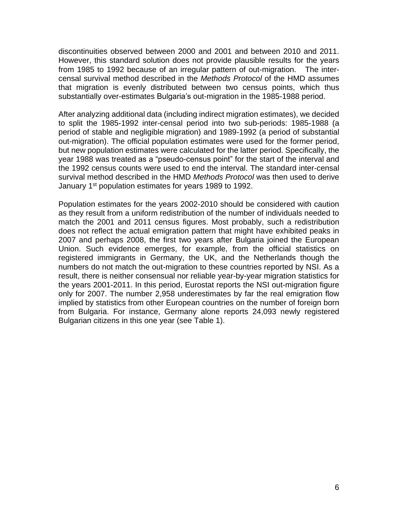discontinuities observed between 2000 and 2001 and between 2010 and 2011. However, this standard solution does not provide plausible results for the years from 1985 to 1992 because of an irregular pattern of out-migration. The intercensal survival method described in the *Methods Protocol* of the HMD assumes that migration is evenly distributed between two census points, which thus substantially over-estimates Bulgaria's out-migration in the 1985-1988 period.

After analyzing additional data (including indirect migration estimates), we decided to split the 1985-1992 inter-censal period into two sub-periods: 1985-1988 (a period of stable and negligible migration) and 1989-1992 (a period of substantial out-migration). The official population estimates were used for the former period, but new population estimates were calculated for the latter period. Specifically, the year 1988 was treated as a "pseudo-census point" for the start of the interval and the 1992 census counts were used to end the interval. The standard inter-censal survival method described in the HMD *Methods Protocol* was then used to derive January 1<sup>st</sup> population estimates for years 1989 to 1992.

Population estimates for the years 2002-2010 should be considered with caution as they result from a uniform redistribution of the number of individuals needed to match the 2001 and 2011 census figures. Most probably, such a redistribution does not reflect the actual emigration pattern that might have exhibited peaks in 2007 and perhaps 2008, the first two years after Bulgaria joined the European Union. Such evidence emerges, for example, from the official statistics on registered immigrants in Germany, the UK, and the Netherlands though the numbers do not match the out-migration to these countries reported by NSI. As a result, there is neither consensual nor reliable year-by-year migration statistics for the years 2001-2011. In this period, Eurostat reports the NSI out-migration figure only for 2007. The number 2,958 underestimates by far the real emigration flow implied by statistics from other European countries on the number of foreign born from Bulgaria. For instance, Germany alone reports 24,093 newly registered Bulgarian citizens in this one year (see Table 1).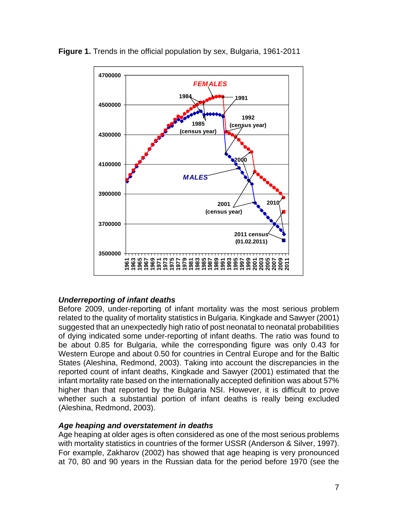

**Figure 1.** Trends in the official population by sex, Bulgaria, 1961-2011

## *Underreporting of infant deaths*

Before 2009, under-reporting of infant mortality was the most serious problem related to the quality of mortality statistics in Bulgaria. Kingkade and Sawyer (2001) suggested that an unexpectedly high ratio of post neonatal to neonatal probabilities of dying indicated some under-reporting of infant deaths. The ratio was found to be about 0.85 for Bulgaria, while the corresponding figure was only 0.43 for Western Europe and about 0.50 for countries in Central Europe and for the Baltic States (Aleshina, Redmond, 2003). Taking into account the discrepancies in the reported count of infant deaths, Kingkade and Sawyer (2001) estimated that the infant mortality rate based on the internationally accepted definition was about 57% higher than that reported by the Bulgaria NSI. However, it is difficult to prove whether such a substantial portion of infant deaths is really being excluded (Aleshina, Redmond, 2003).

#### *Age heaping and overstatement in deaths*

Age heaping at older ages is often considered as one of the most serious problems with mortality statistics in countries of the former USSR (Anderson & Silver, 1997). For example, Zakharov (2002) has showed that age heaping is very pronounced at 70, 80 and 90 years in the Russian data for the period before 1970 (see the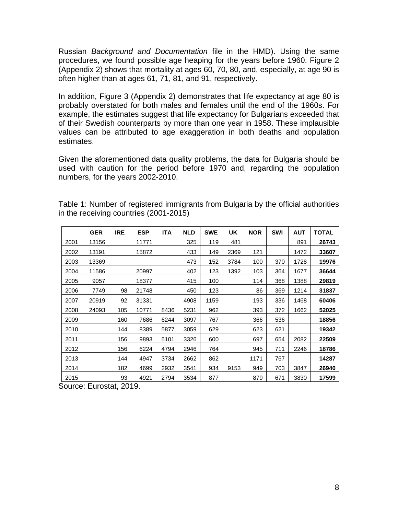Russian *Background and Documentation* file in the HMD). Using the same procedures, we found possible age heaping for the years before 1960. Figure 2 (Appendix 2) shows that mortality at ages 60, 70, 80, and, especially, at age 90 is often higher than at ages 61, 71, 81, and 91, respectively.

In addition, Figure 3 (Appendix 2) demonstrates that life expectancy at age 80 is probably overstated for both males and females until the end of the 1960s. For example, the estimates suggest that life expectancy for Bulgarians exceeded that of their Swedish counterparts by more than one year in 1958. These implausible values can be attributed to age exaggeration in both deaths and population estimates.

Given the aforementioned data quality problems, the data for Bulgaria should be used with caution for the period before 1970 and, regarding the population numbers, for the years 2002-2010.

|      | <b>GER</b> | <b>IRE</b> | <b>ESP</b> | <b>ITA</b> | <b>NLD</b> | <b>SWE</b> | UK   | <b>NOR</b> | <b>SWI</b> | <b>AUT</b> | <b>TOTAL</b> |
|------|------------|------------|------------|------------|------------|------------|------|------------|------------|------------|--------------|
| 2001 | 13156      |            | 11771      |            | 325        | 119        | 481  |            |            | 891        | 26743        |
| 2002 | 13191      |            | 15872      |            | 433        | 149        | 2369 | 121        |            | 1472       | 33607        |
| 2003 | 13369      |            |            |            | 473        | 152        | 3784 | 100        | 370        | 1728       | 19976        |
| 2004 | 11586      |            | 20997      |            | 402        | 123        | 1392 | 103        | 364        | 1677       | 36644        |
| 2005 | 9057       |            | 18377      |            | 415        | 100        |      | 114        | 368        | 1388       | 29819        |
| 2006 | 7749       | 98         | 21748      |            | 450        | 123        |      | 86         | 369        | 1214       | 31837        |
| 2007 | 20919      | 92         | 31331      |            | 4908       | 1159       |      | 193        | 336        | 1468       | 60406        |
| 2008 | 24093      | 105        | 10771      | 8436       | 5231       | 962        |      | 393        | 372        | 1662       | 52025        |
| 2009 |            | 160        | 7686       | 6244       | 3097       | 767        |      | 366        | 536        |            | 18856        |
| 2010 |            | 144        | 8389       | 5877       | 3059       | 629        |      | 623        | 621        |            | 19342        |
| 2011 |            | 156        | 9893       | 5101       | 3326       | 600        |      | 697        | 654        | 2082       | 22509        |
| 2012 |            | 156        | 6224       | 4794       | 2946       | 764        |      | 945        | 711        | 2246       | 18786        |
| 2013 |            | 144        | 4947       | 3734       | 2662       | 862        |      | 1171       | 767        |            | 14287        |
| 2014 |            | 182        | 4699       | 2932       | 3541       | 934        | 9153 | 949        | 703        | 3847       | 26940        |
| 2015 |            | 93         | 4921       | 2794       | 3534       | 877        |      | 879        | 671        | 3830       | 17599        |

Table 1: Number of registered immigrants from Bulgaria by the official authorities in the receiving countries (2001-2015)

Source: Eurostat, 2019.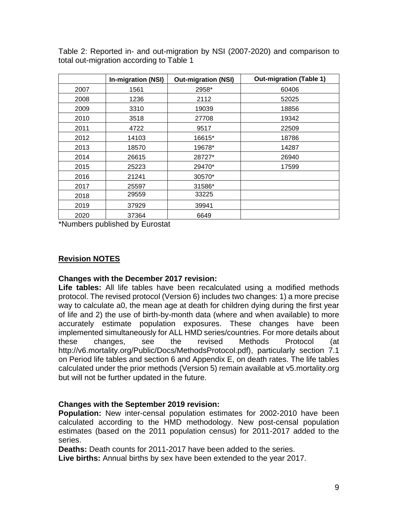|      | <b>In-migration (NSI)</b> | <b>Out-migration (NSI)</b> | <b>Out-migration (Table 1)</b> |
|------|---------------------------|----------------------------|--------------------------------|
| 2007 | 1561                      | 2958*                      | 60406                          |
| 2008 | 1236                      | 2112                       | 52025                          |
| 2009 | 3310                      | 19039                      | 18856                          |
| 2010 | 3518                      | 27708                      | 19342                          |
| 2011 | 4722                      | 9517                       | 22509                          |
| 2012 | 14103                     | 16615*                     | 18786                          |
| 2013 | 18570                     | 19678*                     | 14287                          |
| 2014 | 26615                     | 28727*                     | 26940                          |
| 2015 | 25223                     | 29470*                     | 17599                          |
| 2016 | 21241                     | 30570*                     |                                |
| 2017 | 25597                     | 31586*                     |                                |
| 2018 | 29559                     | 33225                      |                                |
| 2019 | 37929                     | 39941                      |                                |
| 2020 | 37364                     | 6649                       |                                |

Table 2: Reported in- and out-migration by NSI (2007-2020) and comparison to total out-migration according to Table 1

\*Numbers published by Eurostat

## **Revision NOTES**

#### **Changes with the December 2017 revision:**

**Life tables:** All life tables have been recalculated using a modified methods protocol. The revised protocol (Version 6) includes two changes: 1) a more precise way to calculate a0, the mean age at death for children dying during the first year of life and 2) the use of birth-by-month data (where and when available) to more accurately estimate population exposures. These changes have been implemented simultaneously for ALL HMD series/countries. For more details about these changes, see the revised Methods Protocol (at http://v6.mortality.org/Public/Docs/MethodsProtocol.pdf), particularly section 7.1 on Period life tables and section 6 and Appendix E, on death rates. The life tables calculated under the prior methods (Version 5) remain available at v5.mortality.org but will not be further updated in the future.

#### **Changes with the September 2019 revision:**

**Population:** New inter-censal population estimates for 2002-2010 have been calculated according to the HMD methodology. New post-censal population estimates (based on the 2011 population census) for 2011-2017 added to the series.

**Deaths:** Death counts for 2011-2017 have been added to the series. **Live births:** Annual births by sex have been extended to the year 2017.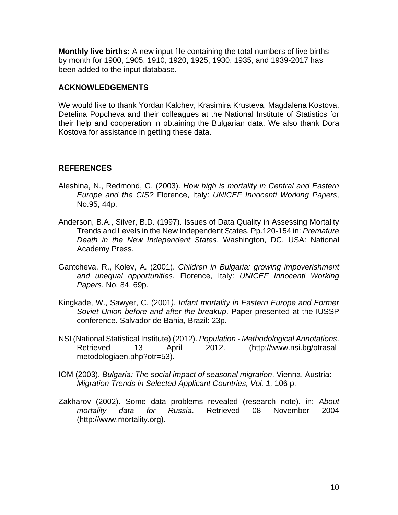**Monthly live births:** A new input file containing the total numbers of live births by month for 1900, 1905, 1910, 1920, 1925, 1930, 1935, and 1939-2017 has been added to the input database.

#### **ACKNOWLEDGEMENTS**

We would like to thank Yordan Kalchev, Krasimira Krusteva, Magdalena Kostova, Detelina Popcheva and their colleagues at the National Institute of Statistics for their help and cooperation in obtaining the Bulgarian data. We also thank Dora Kostova for assistance in getting these data.

#### **REFERENCES**

- Aleshina, N., Redmond, G. (2003). *How high is mortality in Central and Eastern Europe and the CIS?* Florence, Italy: *UNICEF Innocenti Working Papers*, No.95, 44p.
- Anderson, B.A., Silver, B.D. (1997). Issues of Data Quality in Assessing Mortality Trends and Levels in the New Independent States. Pp.120-154 in: *Premature Death in the New Independent States*. Washington, DC, USA: National Academy Press.
- Gantcheva, R., Kolev, A. (2001). *Children in Bulgaria: growing impoverishment and unequal opportunities.* Florence, Italy: *UNICEF Innocenti Working Papers*, No. 84, 69p.
- Kingkade, W., Sawyer, C. (2001*). Infant mortality in Eastern Europe and Former Soviet Union before and after the breakup*. Paper presented at the IUSSP conference. Salvador de Bahia, Brazil: 23p.
- NSI (National Statistical Institute) (2012). *Population - Methodological Annotations*. Retrieved 13 April 2012. (http://www.nsi.bg/otrasalmetodologiaen.php?otr=53).
- IOM (2003). *Bulgaria: The social impact of seasonal migration*. Vienna, Austria: *Migration Trends in Selected Applicant Countries, Vol. 1,* 106 p.
- Zakharov (2002). Some data problems revealed (research note). in: *About mortality data for Russia*. Retrieved 08 November 2004 (http://www.mortality.org).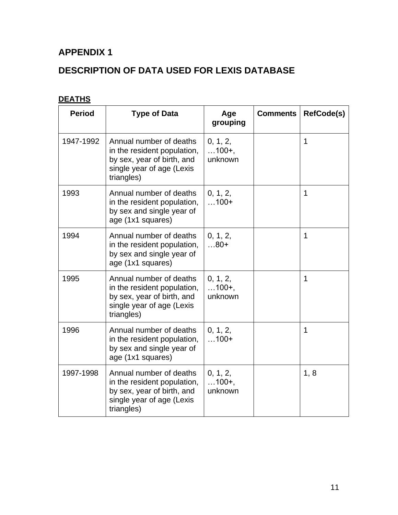# **APPENDIX 1**

# **DESCRIPTION OF DATA USED FOR LEXIS DATABASE**

# **DEATHS**

| <b>Period</b> | <b>Type of Data</b>                                                                                                             | Age<br>grouping                | <b>Comments</b> | <b>RefCode(s)</b> |
|---------------|---------------------------------------------------------------------------------------------------------------------------------|--------------------------------|-----------------|-------------------|
| 1947-1992     | Annual number of deaths<br>in the resident population,<br>by sex, year of birth, and<br>single year of age (Lexis<br>triangles) | 0, 1, 2,<br>$100+,$<br>unknown |                 | $\mathbf 1$       |
| 1993          | Annual number of deaths<br>in the resident population,<br>by sex and single year of<br>age (1x1 squares)                        | 0, 1, 2,<br>$100+$             |                 | $\mathbf 1$       |
| 1994          | Annual number of deaths<br>in the resident population,<br>by sex and single year of<br>age (1x1 squares)                        | 0, 1, 2,<br>$80+$              |                 | $\mathbf 1$       |
| 1995          | Annual number of deaths<br>in the resident population,<br>by sex, year of birth, and<br>single year of age (Lexis<br>triangles) | 0, 1, 2,<br>$100+,$<br>unknown |                 | 1                 |
| 1996          | Annual number of deaths<br>in the resident population,<br>by sex and single year of<br>age (1x1 squares)                        | 0, 1, 2,<br>$100+$             |                 | $\mathbf 1$       |
| 1997-1998     | Annual number of deaths<br>in the resident population,<br>by sex, year of birth, and<br>single year of age (Lexis<br>triangles) | 0, 1, 2,<br>$100+,$<br>unknown |                 | 1, 8              |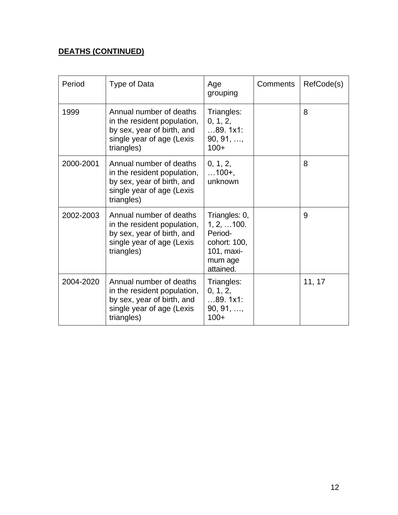## **DEATHS (CONTINUED)**

| Period    | Type of Data                                                                                                                    | Age<br>grouping                                                                               | Comments | RefCode(s) |
|-----------|---------------------------------------------------------------------------------------------------------------------------------|-----------------------------------------------------------------------------------------------|----------|------------|
| 1999      | Annual number of deaths<br>in the resident population,<br>by sex, year of birth, and<br>single year of age (Lexis<br>triangles) | Triangles:<br>0, 1, 2,<br>89.1x1:<br>90, 91, ,<br>$100+$                                      |          | 8          |
| 2000-2001 | Annual number of deaths<br>in the resident population,<br>by sex, year of birth, and<br>single year of age (Lexis<br>triangles) | 0, 1, 2,<br>$\dots$ 100+,<br>unknown                                                          |          | 8          |
| 2002-2003 | Annual number of deaths<br>in the resident population,<br>by sex, year of birth, and<br>single year of age (Lexis<br>triangles) | Triangles: 0,<br>1, 2,  100.<br>Period-<br>cohort: 100,<br>101, maxi-<br>mum age<br>attained. |          | 9          |
| 2004-2020 | Annual number of deaths<br>in the resident population,<br>by sex, year of birth, and<br>single year of age (Lexis<br>triangles) | Triangles:<br>0, 1, 2,<br>89.1x1:<br>90, 91, ,<br>$100+$                                      |          | 11, 17     |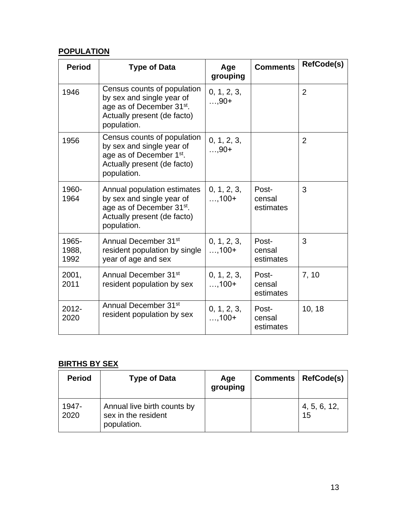## **POPULATION**

| <b>Period</b>          | <b>Type of Data</b>                                                                                                                             | Age<br>grouping         | <b>Comments</b>              | <b>RefCode(s)</b> |
|------------------------|-------------------------------------------------------------------------------------------------------------------------------------------------|-------------------------|------------------------------|-------------------|
| 1946                   | Census counts of population<br>by sex and single year of<br>age as of December 31 <sup>st</sup> .<br>Actually present (de facto)<br>population. | 0, 1, 2, 3,<br>$, 90+$  |                              | $\overline{2}$    |
| 1956                   | Census counts of population<br>by sex and single year of<br>age as of December 1 <sup>st</sup> .<br>Actually present (de facto)<br>population.  | 0, 1, 2, 3,<br>$, 90+$  |                              | $\overline{2}$    |
| 1960-<br>1964          | Annual population estimates<br>by sex and single year of<br>age as of December 31 <sup>st</sup> .<br>Actually present (de facto)<br>population. | 0, 1, 2, 3,<br>$, 100+$ | Post-<br>censal<br>estimates | 3                 |
| 1965-<br>1988,<br>1992 | Annual December 31 <sup>st</sup><br>resident population by single<br>year of age and sex                                                        | 0, 1, 2, 3,<br>$, 100+$ | Post-<br>censal<br>estimates | 3                 |
| 2001,<br>2011          | Annual December 31 <sup>st</sup><br>resident population by sex                                                                                  | 0, 1, 2, 3,<br>$, 100+$ | Post-<br>censal<br>estimates | 7,10              |
| $2012 -$<br>2020       | Annual December 31 <sup>st</sup><br>resident population by sex                                                                                  | 0, 1, 2, 3,<br>$, 100+$ | Post-<br>censal<br>estimates | 10, 18            |

# **BIRTHS BY SEX**

| <b>Period</b> | <b>Type of Data</b>                                               | Age<br>grouping | Comments   RefCode(s) |
|---------------|-------------------------------------------------------------------|-----------------|-----------------------|
| 1947-<br>2020 | Annual live birth counts by<br>sex in the resident<br>population. |                 | 4, 5, 6, 12,<br>15    |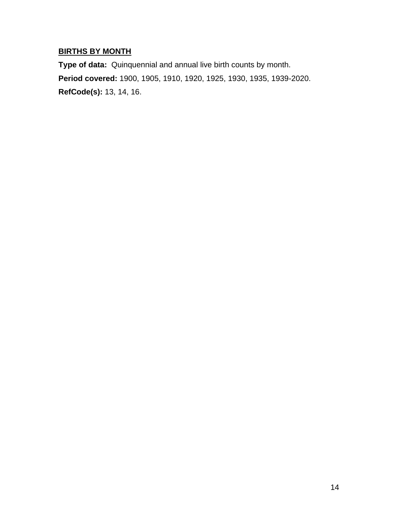# **BIRTHS BY MONTH**

**Type of data:** Quinquennial and annual live birth counts by month. **Period covered:** 1900, 1905, 1910, 1920, 1925, 1930, 1935, 1939-2020. **RefCode(s):** 13, 14, 16.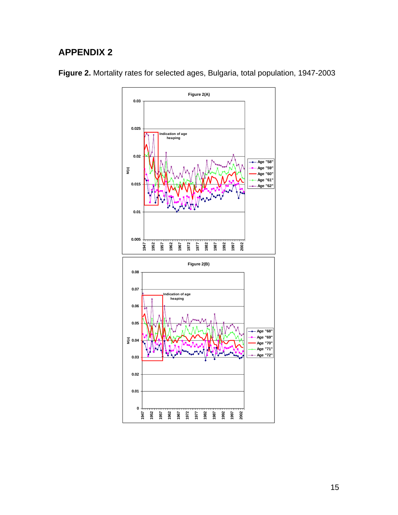# **APPENDIX 2**



**Figure 2.** Mortality rates for selected ages, Bulgaria, total population, 1947-2003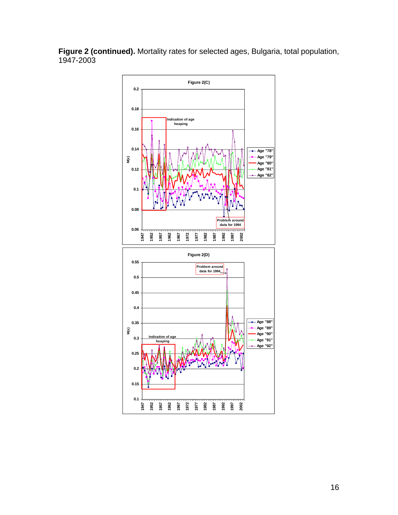**Figure 2 (continued).** Mortality rates for selected ages, Bulgaria, total population, 1947-2003